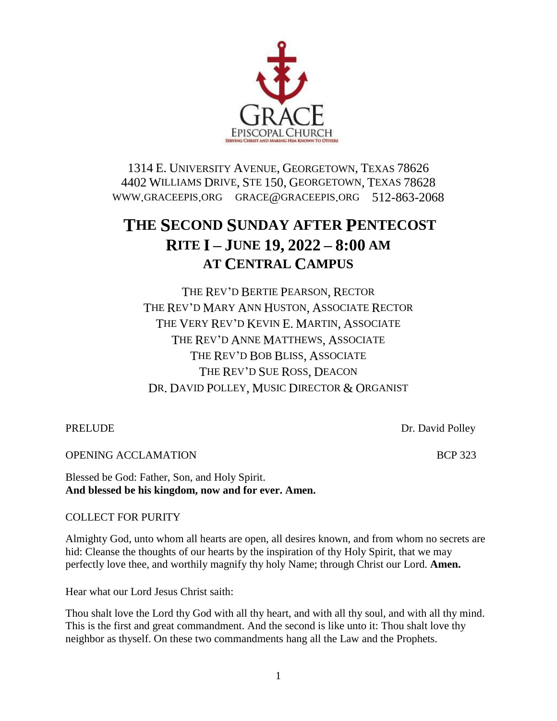

1314 E. UNIVERSITY AVENUE, GEORGETOWN, TEXAS 78626 4402 WILLIAMS DRIVE, STE 150, GEORGETOWN, TEXAS 78628 WWW.GRACEEPIS.ORG GRACE@GRACEEPIS.ORG 512-863-2068

# **THE SECOND SUNDAY AFTER PENTECOST RITE I – JUNE 19, 2022 – 8:00 AM AT CENTRAL CAMPUS**

THE REV'D BERTIE PEARSON, RECTOR THE REV'D MARY ANN HUSTON, ASSOCIATE RECTOR THE VERY REV'D KEVIN E. MARTIN, ASSOCIATE THE REV'D ANNE MATTHEWS, ASSOCIATE THE REV'D BOB BLISS, ASSOCIATE THE REV'D SUE ROSS, DEACON DR. DAVID POLLEY, MUSIC DIRECTOR & ORGANIST

PRELUDE Dr. David Polley

OPENING ACCLAMATION BCP 323

Blessed be God: Father, Son, and Holy Spirit. **And blessed be his kingdom, now and for ever. Amen.**

# COLLECT FOR PURITY

Almighty God, unto whom all hearts are open, all desires known, and from whom no secrets are hid: Cleanse the thoughts of our hearts by the inspiration of thy Holy Spirit, that we may perfectly love thee, and worthily magnify thy holy Name; through Christ our Lord. **Amen.**

Hear what our Lord Jesus Christ saith:

Thou shalt love the Lord thy God with all thy heart, and with all thy soul, and with all thy mind. This is the first and great commandment. And the second is like unto it: Thou shalt love thy neighbor as thyself. On these two commandments hang all the Law and the Prophets.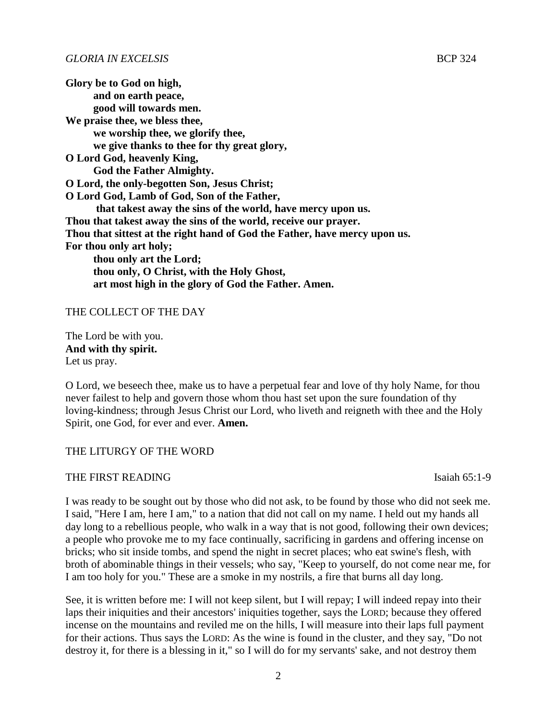**Glory be to God on high,**

**and on earth peace, good will towards men. We praise thee, we bless thee, we worship thee, we glorify thee, we give thanks to thee for thy great glory, O Lord God, heavenly King, God the Father Almighty. O Lord, the only-begotten Son, Jesus Christ; O Lord God, Lamb of God, Son of the Father, that takest away the sins of the world, have mercy upon us. Thou that takest away the sins of the world, receive our prayer. Thou that sittest at the right hand of God the Father, have mercy upon us. For thou only art holy; thou only art the Lord; thou only, O Christ, with the Holy Ghost, art most high in the glory of God the Father. Amen.**

### THE COLLECT OF THE DAY

The Lord be with you. **And with thy spirit.** Let us pray.

O Lord, we beseech thee, make us to have a perpetual fear and love of thy holy Name, for thou never failest to help and govern those whom thou hast set upon the sure foundation of thy loving-kindness; through Jesus Christ our Lord, who liveth and reigneth with thee and the Holy Spirit, one God, for ever and ever. **Amen.**

#### THE LITURGY OF THE WORD

#### THE FIRST READING ISLAMIC STOLEN STATES ISAIAh 65:1-9

I was ready to be sought out by those who did not ask, to be found by those who did not seek me. I said, "Here I am, here I am," to a nation that did not call on my name. I held out my hands all day long to a rebellious people, who walk in a way that is not good, following their own devices; a people who provoke me to my face continually, sacrificing in gardens and offering incense on bricks; who sit inside tombs, and spend the night in secret places; who eat swine's flesh, with broth of abominable things in their vessels; who say, "Keep to yourself, do not come near me, for I am too holy for you." These are a smoke in my nostrils, a fire that burns all day long.

See, it is written before me: I will not keep silent, but I will repay; I will indeed repay into their laps their iniquities and their ancestors' iniquities together, says the LORD; because they offered incense on the mountains and reviled me on the hills, I will measure into their laps full payment for their actions. Thus says the LORD: As the wine is found in the cluster, and they say, "Do not destroy it, for there is a blessing in it," so I will do for my servants' sake, and not destroy them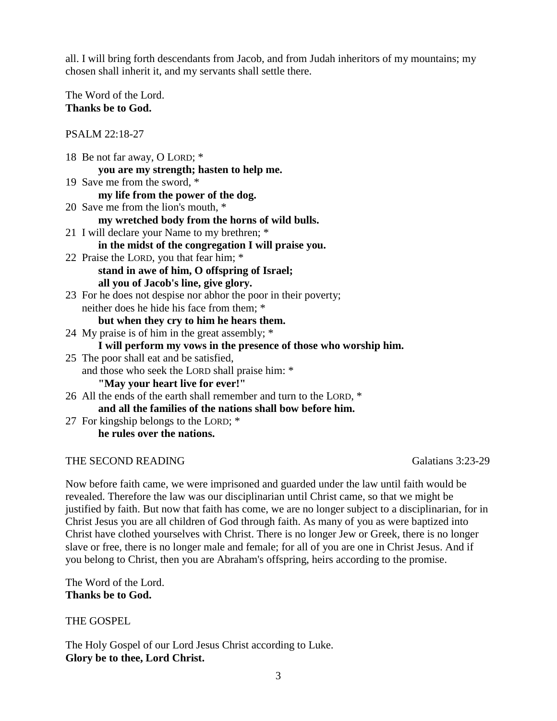all. I will bring forth descendants from Jacob, and from Judah inheritors of my mountains; my chosen shall inherit it, and my servants shall settle there.

The Word of the Lord. **Thanks be to God.**

PSALM 22:18-27

18 Be not far away, O LORD; \* **you are my strength; hasten to help me.** 19 Save me from the sword, \* **my life from the power of the dog.** 20 Save me from the lion's mouth, \* **my wretched body from the horns of wild bulls.** 21 I will declare your Name to my brethren; \* **in the midst of the congregation I will praise you.** 22 Praise the LORD, you that fear him; \* **stand in awe of him, O offspring of Israel; all you of Jacob's line, give glory.** 23 For he does not despise nor abhor the poor in their poverty; neither does he hide his face from them; \* **but when they cry to him he hears them.** 24 My praise is of him in the great assembly; \* **I will perform my vows in the presence of those who worship him.** 25 The poor shall eat and be satisfied, and those who seek the LORD shall praise him: \* **"May your heart live for ever!"** 26 All the ends of the earth shall remember and turn to the LORD, \* **and all the families of the nations shall bow before him.** 27 For kingship belongs to the LORD; \*

**he rules over the nations.**

# THE SECOND READING Galatians 3:23-29

Now before faith came, we were imprisoned and guarded under the law until faith would be revealed. Therefore the law was our disciplinarian until Christ came, so that we might be justified by faith. But now that faith has come, we are no longer subject to a disciplinarian, for in Christ Jesus you are all children of God through faith. As many of you as were baptized into Christ have clothed yourselves with Christ. There is no longer Jew or Greek, there is no longer slave or free, there is no longer male and female; for all of you are one in Christ Jesus. And if you belong to Christ, then you are Abraham's offspring, heirs according to the promise.

The Word of the Lord. **Thanks be to God.**

THE GOSPEL

The Holy Gospel of our Lord Jesus Christ according to Luke. **Glory be to thee, Lord Christ.**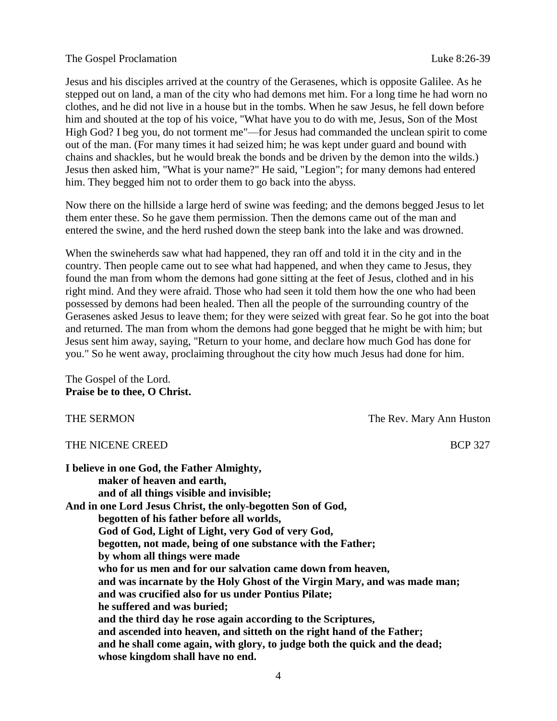#### The Gospel Proclamation Luke 8:26-39

Jesus and his disciples arrived at the country of the Gerasenes, which is opposite Galilee. As he stepped out on land, a man of the city who had demons met him. For a long time he had worn no clothes, and he did not live in a house but in the tombs. When he saw Jesus, he fell down before him and shouted at the top of his voice, "What have you to do with me, Jesus, Son of the Most High God? I beg you, do not torment me"—for Jesus had commanded the unclean spirit to come out of the man. (For many times it had seized him; he was kept under guard and bound with chains and shackles, but he would break the bonds and be driven by the demon into the wilds.) Jesus then asked him, "What is your name?" He said, "Legion"; for many demons had entered him. They begged him not to order them to go back into the abyss.

Now there on the hillside a large herd of swine was feeding; and the demons begged Jesus to let them enter these. So he gave them permission. Then the demons came out of the man and entered the swine, and the herd rushed down the steep bank into the lake and was drowned.

When the swineherds saw what had happened, they ran off and told it in the city and in the country. Then people came out to see what had happened, and when they came to Jesus, they found the man from whom the demons had gone sitting at the feet of Jesus, clothed and in his right mind. And they were afraid. Those who had seen it told them how the one who had been possessed by demons had been healed. Then all the people of the surrounding country of the Gerasenes asked Jesus to leave them; for they were seized with great fear. So he got into the boat and returned. The man from whom the demons had gone begged that he might be with him; but Jesus sent him away, saying, "Return to your home, and declare how much God has done for you." So he went away, proclaiming throughout the city how much Jesus had done for him.

The Gospel of the Lord. **Praise be to thee, O Christ.**

#### THE SERMON THE SERMON

#### THE NICENE CREED BCP 327

**I believe in one God, the Father Almighty, maker of heaven and earth, and of all things visible and invisible; And in one Lord Jesus Christ, the only-begotten Son of God, begotten of his father before all worlds, God of God, Light of Light, very God of very God, begotten, not made, being of one substance with the Father; by whom all things were made who for us men and for our salvation came down from heaven, and was incarnate by the Holy Ghost of the Virgin Mary, and was made man; and was crucified also for us under Pontius Pilate; he suffered and was buried; and the third day he rose again according to the Scriptures, and ascended into heaven, and sitteth on the right hand of the Father; and he shall come again, with glory, to judge both the quick and the dead; whose kingdom shall have no end.**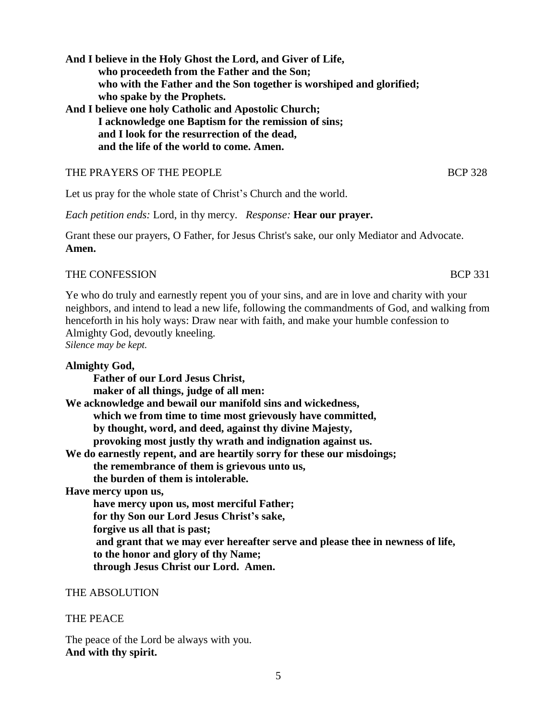**And I believe in the Holy Ghost the Lord, and Giver of Life, who proceedeth from the Father and the Son; who with the Father and the Son together is worshiped and glorified; who spake by the Prophets. And I believe one holy Catholic and Apostolic Church;**

**I acknowledge one Baptism for the remission of sins; and I look for the resurrection of the dead, and the life of the world to come. Amen.**

### THE PRAYERS OF THE PEOPLE BCP 328

Let us pray for the whole state of Christ's Church and the world.

#### *Each petition ends:* Lord, in thy mercy. *Response:* **Hear our prayer.**

Grant these our prayers, O Father, for Jesus Christ's sake, our only Mediator and Advocate. **Amen.**

#### THE CONFESSION BCP 331

Ye who do truly and earnestly repent you of your sins, and are in love and charity with your neighbors, and intend to lead a new life, following the commandments of God, and walking from henceforth in his holy ways: Draw near with faith, and make your humble confession to Almighty God, devoutly kneeling. *Silence may be kept.*

**Almighty God, Father of our Lord Jesus Christ, maker of all things, judge of all men: We acknowledge and bewail our manifold sins and wickedness, which we from time to time most grievously have committed, by thought, word, and deed, against thy divine Majesty, provoking most justly thy wrath and indignation against us. We do earnestly repent, and are heartily sorry for these our misdoings; the remembrance of them is grievous unto us, the burden of them is intolerable. Have mercy upon us, have mercy upon us, most merciful Father; for thy Son our Lord Jesus Christ's sake, forgive us all that is past; and grant that we may ever hereafter serve and please thee in newness of life, to the honor and glory of thy Name; through Jesus Christ our Lord. Amen.**

#### THE ABSOLUTION

# THE PEACE

The peace of the Lord be always with you. **And with thy spirit.**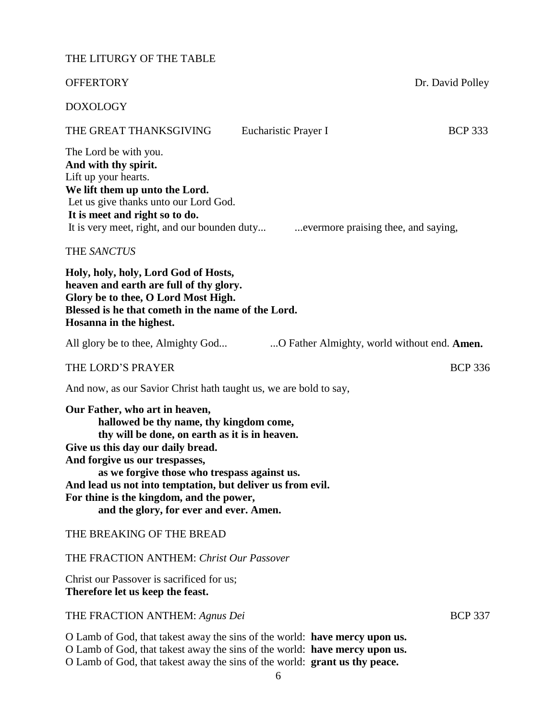# THE LITURGY OF THE TABLE

| <b>OFFERTORY</b>                                                                                                                                                                                                                                                                                                                                                                                        |                      | Dr. David Polley                            |
|---------------------------------------------------------------------------------------------------------------------------------------------------------------------------------------------------------------------------------------------------------------------------------------------------------------------------------------------------------------------------------------------------------|----------------------|---------------------------------------------|
| DOXOLOGY                                                                                                                                                                                                                                                                                                                                                                                                |                      |                                             |
| THE GREAT THANKSGIVING                                                                                                                                                                                                                                                                                                                                                                                  | Eucharistic Prayer I | <b>BCP 333</b>                              |
| The Lord be with you.<br>And with thy spirit.<br>Lift up your hearts.<br>We lift them up unto the Lord.<br>Let us give thanks unto our Lord God.<br>It is meet and right so to do.<br>It is very meet, right, and our bounden duty evermore praising thee, and saying,                                                                                                                                  |                      |                                             |
| THE SANCTUS                                                                                                                                                                                                                                                                                                                                                                                             |                      |                                             |
| Holy, holy, holy, Lord God of Hosts,<br>heaven and earth are full of thy glory.<br>Glory be to thee, O Lord Most High.<br>Blessed is he that cometh in the name of the Lord.<br>Hosanna in the highest.                                                                                                                                                                                                 |                      |                                             |
| All glory be to thee, Almighty God                                                                                                                                                                                                                                                                                                                                                                      |                      | O Father Almighty, world without end. Amen. |
| THE LORD'S PRAYER                                                                                                                                                                                                                                                                                                                                                                                       |                      | <b>BCP 336</b>                              |
| And now, as our Savior Christ hath taught us, we are bold to say,                                                                                                                                                                                                                                                                                                                                       |                      |                                             |
| Our Father, who art in heaven,<br>hallowed be thy name, thy kingdom come,<br>thy will be done, on earth as it is in heaven.<br>Give us this day our daily bread.<br>And forgive us our trespasses,<br>as we forgive those who trespass against us.<br>And lead us not into temptation, but deliver us from evil.<br>For thine is the kingdom, and the power,<br>and the glory, for ever and ever. Amen. |                      |                                             |
| THE BREAKING OF THE BREAD                                                                                                                                                                                                                                                                                                                                                                               |                      |                                             |
| THE FRACTION ANTHEM: Christ Our Passover                                                                                                                                                                                                                                                                                                                                                                |                      |                                             |
| Christ our Passover is sacrificed for us;<br>Therefore let us keep the feast.                                                                                                                                                                                                                                                                                                                           |                      |                                             |
| THE FRACTION ANTHEM: Agnus Dei                                                                                                                                                                                                                                                                                                                                                                          |                      | <b>BCP 337</b>                              |
| O Lamb of God, that takest away the sins of the world: have mercy upon us.<br>O Lamb of God, that takest away the sins of the world: have mercy upon us.                                                                                                                                                                                                                                                |                      |                                             |

O Lamb of God, that takest away the sins of the world: **grant us thy peace.**